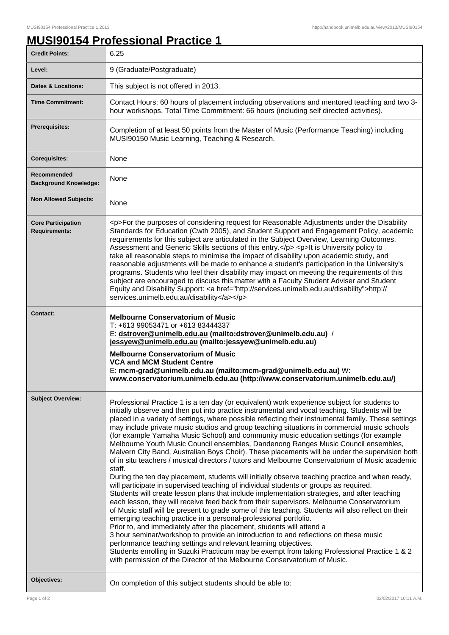1

## **MUSI90154 Professional Practice 1**

| <b>Credit Points:</b>                             | 6.25                                                                                                                                                                                                                                                                                                                                                                                                                                                                                                                                                                                                                                                                                                                                                                                                                                                                                                                                                                                                                                                                                                                                                                                                                                                                                                                                                                                                                                                                                                                                                                                                                                                                                                                                                                                    |
|---------------------------------------------------|-----------------------------------------------------------------------------------------------------------------------------------------------------------------------------------------------------------------------------------------------------------------------------------------------------------------------------------------------------------------------------------------------------------------------------------------------------------------------------------------------------------------------------------------------------------------------------------------------------------------------------------------------------------------------------------------------------------------------------------------------------------------------------------------------------------------------------------------------------------------------------------------------------------------------------------------------------------------------------------------------------------------------------------------------------------------------------------------------------------------------------------------------------------------------------------------------------------------------------------------------------------------------------------------------------------------------------------------------------------------------------------------------------------------------------------------------------------------------------------------------------------------------------------------------------------------------------------------------------------------------------------------------------------------------------------------------------------------------------------------------------------------------------------------|
| Level:                                            | 9 (Graduate/Postgraduate)                                                                                                                                                                                                                                                                                                                                                                                                                                                                                                                                                                                                                                                                                                                                                                                                                                                                                                                                                                                                                                                                                                                                                                                                                                                                                                                                                                                                                                                                                                                                                                                                                                                                                                                                                               |
| <b>Dates &amp; Locations:</b>                     | This subject is not offered in 2013.                                                                                                                                                                                                                                                                                                                                                                                                                                                                                                                                                                                                                                                                                                                                                                                                                                                                                                                                                                                                                                                                                                                                                                                                                                                                                                                                                                                                                                                                                                                                                                                                                                                                                                                                                    |
| <b>Time Commitment:</b>                           | Contact Hours: 60 hours of placement including observations and mentored teaching and two 3-<br>hour workshops. Total Time Commitment: 66 hours (including self directed activities).                                                                                                                                                                                                                                                                                                                                                                                                                                                                                                                                                                                                                                                                                                                                                                                                                                                                                                                                                                                                                                                                                                                                                                                                                                                                                                                                                                                                                                                                                                                                                                                                   |
| <b>Prerequisites:</b>                             | Completion of at least 50 points from the Master of Music (Performance Teaching) including<br>MUSI90150 Music Learning, Teaching & Research.                                                                                                                                                                                                                                                                                                                                                                                                                                                                                                                                                                                                                                                                                                                                                                                                                                                                                                                                                                                                                                                                                                                                                                                                                                                                                                                                                                                                                                                                                                                                                                                                                                            |
| <b>Corequisites:</b>                              | None                                                                                                                                                                                                                                                                                                                                                                                                                                                                                                                                                                                                                                                                                                                                                                                                                                                                                                                                                                                                                                                                                                                                                                                                                                                                                                                                                                                                                                                                                                                                                                                                                                                                                                                                                                                    |
| Recommended<br><b>Background Knowledge:</b>       | None                                                                                                                                                                                                                                                                                                                                                                                                                                                                                                                                                                                                                                                                                                                                                                                                                                                                                                                                                                                                                                                                                                                                                                                                                                                                                                                                                                                                                                                                                                                                                                                                                                                                                                                                                                                    |
| <b>Non Allowed Subjects:</b>                      | None                                                                                                                                                                                                                                                                                                                                                                                                                                                                                                                                                                                                                                                                                                                                                                                                                                                                                                                                                                                                                                                                                                                                                                                                                                                                                                                                                                                                                                                                                                                                                                                                                                                                                                                                                                                    |
| <b>Core Participation</b><br><b>Requirements:</b> | <p>For the purposes of considering request for Reasonable Adjustments under the Disability<br/>Standards for Education (Cwth 2005), and Student Support and Engagement Policy, academic<br/>requirements for this subject are articulated in the Subject Overview, Learning Outcomes,<br/>Assessment and Generic Skills sections of this entry.</p> <p>lt is University policy to<br/>take all reasonable steps to minimise the impact of disability upon academic study, and<br/>reasonable adjustments will be made to enhance a student's participation in the University's<br/>programs. Students who feel their disability may impact on meeting the requirements of this<br/>subject are encouraged to discuss this matter with a Faculty Student Adviser and Student<br/>Equity and Disability Support: &lt; a href="http://services.unimelb.edu.au/disability"&gt;http://<br/>services.unimelb.edu.au/disability</p>                                                                                                                                                                                                                                                                                                                                                                                                                                                                                                                                                                                                                                                                                                                                                                                                                                                            |
| Contact:                                          | <b>Melbourne Conservatorium of Music</b><br>T: +613 99053471 or +613 83444337<br>E: dstrover@unimelb.edu.au (mailto:dstrover@unimelb.edu.au) /<br>jessyew@unimelb.edu.au (mailto: jessyew@unimelb.edu.au)<br><b>Melbourne Conservatorium of Music</b><br><b>VCA and MCM Student Centre</b><br>E: mcm-grad@unimelb.edu.au (mailto:mcm-grad@unimelb.edu.au) W:<br>www.conservatorium.unimelb.edu.au (http://www.conservatorium.unimelb.edu.au/)                                                                                                                                                                                                                                                                                                                                                                                                                                                                                                                                                                                                                                                                                                                                                                                                                                                                                                                                                                                                                                                                                                                                                                                                                                                                                                                                           |
| <b>Subject Overview:</b>                          | Professional Practice 1 is a ten day (or equivalent) work experience subject for students to<br>initially observe and then put into practice instrumental and vocal teaching. Students will be<br>placed in a variety of settings, where possible reflecting their instrumental family. These settings<br>may include private music studios and group teaching situations in commercial music schools<br>(for example Yamaha Music School) and community music education settings (for example<br>Melbourne Youth Music Council ensembles, Dandenong Ranges Music Council ensembles,<br>Malvern City Band, Australian Boys Choir). These placements will be under the supervision both<br>of in situ teachers / musical directors / tutors and Melbourne Conservatorium of Music academic<br>staff.<br>During the ten day placement, students will initially observe teaching practice and when ready,<br>will participate in supervised teaching of individual students or groups as required.<br>Students will create lesson plans that include implementation strategies, and after teaching<br>each lesson, they will receive feed back from their supervisors. Melbourne Conservatorium<br>of Music staff will be present to grade some of this teaching. Students will also reflect on their<br>emerging teaching practice in a personal-professional portfolio.<br>Prior to, and immediately after the placement, students will attend a<br>3 hour seminar/workshop to provide an introduction to and reflections on these music<br>performance teaching settings and relevant learning objectives.<br>Students enrolling in Suzuki Practicum may be exempt from taking Professional Practice 1 & 2<br>with permission of the Director of the Melbourne Conservatorium of Music. |
| Objectives:                                       | On completion of this subject students should be able to:                                                                                                                                                                                                                                                                                                                                                                                                                                                                                                                                                                                                                                                                                                                                                                                                                                                                                                                                                                                                                                                                                                                                                                                                                                                                                                                                                                                                                                                                                                                                                                                                                                                                                                                               |